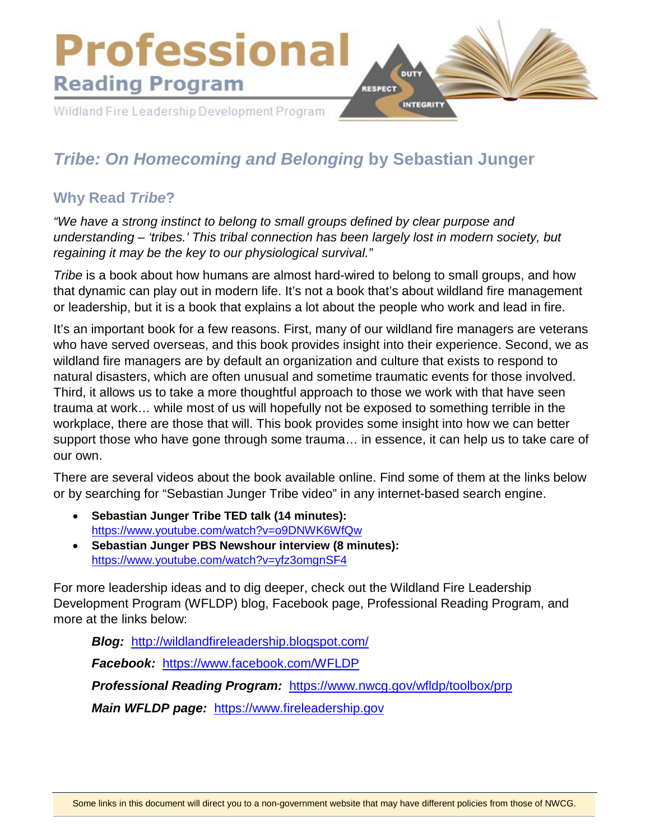

# *Tribe: On Homecoming and Belonging* **by Sebastian Junger**

### **Why Read** *Tribe***?**

*"We have a strong instinct to belong to small groups defined by clear purpose and understanding – 'tribes.' This tribal connection has been largely lost in modern society, but regaining it may be the key to our physiological survival."* 

*Tribe* is a book about how humans are almost hard-wired to belong to small groups, and how that dynamic can play out in modern life. It's not a book that's about wildland fire management or leadership, but it is a book that explains a lot about the people who work and lead in fire.

It's an important book for a few reasons. First, many of our wildland fire managers are veterans who have served overseas, and this book provides insight into their experience. Second, we as wildland fire managers are by default an organization and culture that exists to respond to natural disasters, which are often unusual and sometime traumatic events for those involved. Third, it allows us to take a more thoughtful approach to those we work with that have seen trauma at work… while most of us will hopefully not be exposed to something terrible in the workplace, there are those that will. This book provides some insight into how we can better support those who have gone through some trauma… in essence, it can help us to take care of our own.

There are several videos about the book available online. Find some of them at the links below or by searching for "Sebastian Junger Tribe video" in any internet-based search engine.

- **Sebastian Junger Tribe TED talk (14 minutes):**  <https://www.youtube.com/watch?v=o9DNWK6WfQw>
- **Sebastian Junger PBS Newshour interview (8 minutes):** <https://www.youtube.com/watch?v=yfz3omgnSF4>

For more leadership ideas and to dig deeper, check out the Wildland Fire Leadership Development Program (WFLDP) blog, Facebook page, Professional Reading Program, and more at the links below:

*Blog:* <http://wildlandfireleadership.blogspot.com/>

*Facebook:* <https://www.facebook.com/WFLDP>

*Professional Reading Program:* <https://www.nwcg.gov/wfldp/toolbox/prp>

*Main WFLDP page:* [https://www.fireleadership.gov](https://www.fireleadership.gov/)